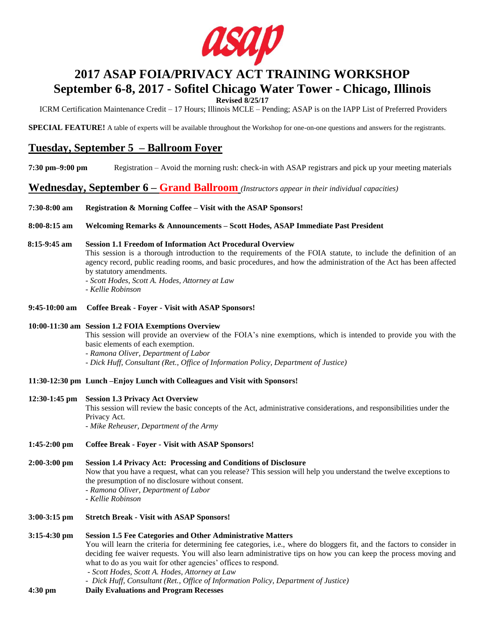

# **2017 ASAP FOIA/PRIVACY ACT TRAINING WORKSHOP September 6-8, 2017 - Sofitel Chicago Water Tower - Chicago, Illinois**

**Revised 8/25/17**

ICRM Certification Maintenance Credit – 17 Hours; Illinois MCLE – Pending; ASAP is on the IAPP List of Preferred Providers

**SPECIAL FEATURE!** A table of experts will be available throughout the Workshop for one-on-one questions and answers for the registrants.

## **Tuesday, September 5 – Ballroom Foyer**

**7:30 pm–9:00 pm** Registration – Avoid the morning rush: check-in with ASAP registrars and pick up your meeting materials

**Wednesday, September 6 – Grand Ballroom** *(Instructors appear in their individual capacities)*

**7:30-8:00 am Registration & Morning Coffee – Visit with the ASAP Sponsors!**

**8:00-8:15 am Welcoming Remarks & Announcements – Scott Hodes, ASAP Immediate Past President**

## **8:15-9:45 am Session 1.1 Freedom of Information Act Procedural Overview**

This session is a thorough introduction to the requirements of the FOIA statute, to include the definition of an agency record, public reading rooms, and basic procedures, and how the administration of the Act has been affected by statutory amendments.

*- Scott Hodes, Scott A. Hodes, Attorney at Law*

*- Kellie Robinson*

**9:45-10:00 am Coffee Break - Foyer - Visit with ASAP Sponsors!**

## **10:00-11:30 am Session 1.2 FOIA Exemptions Overview**

This session will provide an overview of the FOIA's nine exemptions, which is intended to provide you with the basic elements of each exemption.

*- Ramona Oliver, Department of Labor*

- *- Dick Huff, Consultant (Ret., Office of Information Policy, Department of Justice)*
- **11:30-12:30 pm Lunch –Enjoy Lunch with Colleagues and Visit with Sponsors!**

## **12:30-1:45 pm Session 1.3 Privacy Act Overview**

This session will review the basic concepts of the Act, administrative considerations, and responsibilities under the Privacy Act.

*- Mike Reheuser, Department of the Army*

- **1:45-2:00 pm Coffee Break - Foyer - Visit with ASAP Sponsors!**
- **2:00-3:00 pm Session 1.4 Privacy Act: Processing and Conditions of Disclosure** Now that you have a request, what can you release? This session will help you understand the twelve exceptions to the presumption of no disclosure without consent. *- Ramona Oliver, Department of Labor - Kellie Robinson*
- **3:00-3:15 pm Stretch Break - Visit with ASAP Sponsors!**

## **3:15-4:30 pm Session 1.5 Fee Categories and Other Administrative Matters** You will learn the criteria for determining fee categories, i.e., where do bloggers fit, and the factors to consider in deciding fee waiver requests. You will also learn administrative tips on how you can keep the process moving and what to do as you wait for other agencies' offices to respond. *- Scott Hodes, Scott A. Hodes, Attorney at Law - Dick Huff, Consultant (Ret., Office of Information Policy, Department of Justice)* **4:30 pm Daily Evaluations and Program Recesses**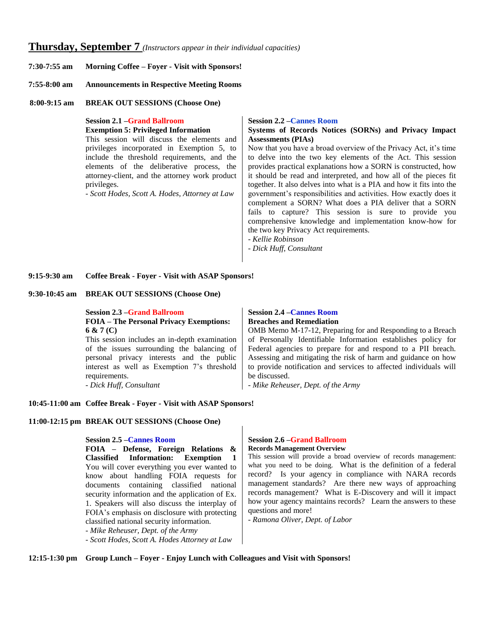## **Thursday, September 7** *(Instructors appear in their individual capacities)*

- **7:30-7:55 am Morning Coffee – Foyer - Visit with Sponsors!**
- **7:55-8:00 am Announcements in Respective Meeting Rooms**
- **8:00-9:15 am BREAK OUT SESSIONS (Choose One)**

**Session 2.1 –Grand Ballroom Exemption 5: Privileged Information** This session will discuss the elements and privileges incorporated in Exemption 5, to include the threshold requirements, and the elements of the deliberative process, the attorney-client, and the attorney work product privileges.

*- Scott Hodes, Scott A. Hodes, Attorney at Law*

#### **Session 2.2 –Cannes Room**

## **Systems of Records Notices (SORNs) and Privacy Impact Assessments (PIAs)**

Now that you have a broad overview of the Privacy Act, it's time to delve into the two key elements of the Act. This session provides practical explanations how a SORN is constructed, how it should be read and interpreted, and how all of the pieces fit together. It also delves into what is a PIA and how it fits into the government's responsibilities and activities. How exactly does it complement a SORN? What does a PIA deliver that a SORN fails to capture? This session is sure to provide you comprehensive knowledge and implementation know-how for the two key Privacy Act requirements.

- *Kellie Robinson*

- *- Dick Huff, Consultant*
- **9:15-9:30 am Coffee Break - Foyer - Visit with ASAP Sponsors!**

#### **9:30-10:45 am BREAK OUT SESSIONS (Choose One)**

**Session 2.3 –Grand Ballroom FOIA – The Personal Privacy Exemptions: 6 & 7 (C)** 

This session includes an in-depth examination of the issues surrounding the balancing of personal privacy interests and the public interest as well as Exemption 7's threshold requirements. *- Dick Huff, Consultant*

**Session 2.4 –Cannes Room Breaches and Remediation** 

OMB Memo M-17-12, Preparing for and Responding to a Breach of Personally Identifiable Information establishes policy for Federal agencies to prepare for and respond to a PII breach. Assessing and mitigating the risk of harm and guidance on how to provide notification and services to affected individuals will be discussed.

*- Mike Reheuser, Dept. of the Army*

## **10:45-11:00 am Coffee Break - Foyer - Visit with ASAP Sponsors!**

#### **11:00-12:15 pm BREAK OUT SESSIONS (Choose One)**

**Session 2.5 –Cannes Room**

**FOIA – Defense, Foreign Relations & Classified Information: Exemption 1**  You will cover everything you ever wanted to know about handling FOIA requests for documents containing classified national security information and the application of Ex. 1. Speakers will also discuss the interplay of FOIA's emphasis on disclosure with protecting classified national security information. *- Mike Reheuser, Dept. of the Army - Scott Hodes, Scott A. Hodes Attorney at Law*

#### **Session 2.6 –Grand Ballroom Records Management Overview**

This session will provide a broad overview of records management: what you need to be doing. What is the definition of a federal record? Is your agency in compliance with NARA records management standards? Are there new ways of approaching records management? What is E-Discovery and will it impact how your agency maintains records? Learn the answers to these questions and more!

*- Ramona Oliver, Dept. of Labor*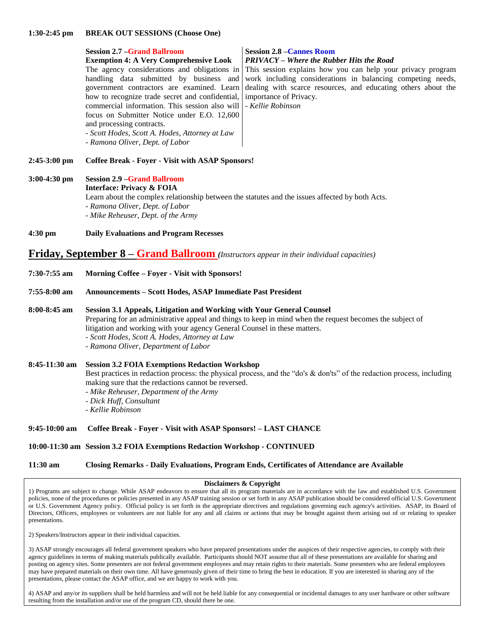#### **1:30-2:45 pm BREAK OUT SESSIONS (Choose One)**

|                                                                                                 | <b>Session 2.7 – Grand Ballroom</b>                                                                                                                                                                                                                                                                                      | <b>Session 2.8 - Cannes Room</b>                                                                                                                                                                                                                                                        |
|-------------------------------------------------------------------------------------------------|--------------------------------------------------------------------------------------------------------------------------------------------------------------------------------------------------------------------------------------------------------------------------------------------------------------------------|-----------------------------------------------------------------------------------------------------------------------------------------------------------------------------------------------------------------------------------------------------------------------------------------|
|                                                                                                 | <b>Exemption 4: A Very Comprehensive Look</b>                                                                                                                                                                                                                                                                            | <b>PRIVACY</b> – Where the Rubber Hits the Road                                                                                                                                                                                                                                         |
|                                                                                                 | handling data submitted by business and<br>government contractors are examined. Learn<br>how to recognize trade secret and confidential,<br>commercial information. This session also will<br>focus on Submitter Notice under E.O. 12,600<br>and processing contracts.<br>- Scott Hodes, Scott A. Hodes, Attorney at Law | The agency considerations and obligations in This session explains how you can help your privacy program<br>work including considerations in balancing competing needs,<br>dealing with scarce resources, and educating others about the<br>importance of Privacy.<br>- Kellie Robinson |
|                                                                                                 | - Ramona Oliver, Dept. of Labor                                                                                                                                                                                                                                                                                          |                                                                                                                                                                                                                                                                                         |
| 2:45-3:00 pm                                                                                    | <b>Coffee Break - Foyer - Visit with ASAP Sponsors!</b>                                                                                                                                                                                                                                                                  |                                                                                                                                                                                                                                                                                         |
| 3:00-4:30 pm                                                                                    | <b>Session 2.9 -Grand Ballroom</b><br><b>Interface: Privacy &amp; FOIA</b><br>Learn about the complex relationship between the statutes and the issues affected by both Acts.<br>- Ramona Oliver, Dept. of Labor<br>- Mike Reheuser, Dept. of the Army                                                                   |                                                                                                                                                                                                                                                                                         |
| 4:30 pm                                                                                         | <b>Daily Evaluations and Program Recesses</b>                                                                                                                                                                                                                                                                            |                                                                                                                                                                                                                                                                                         |
| <b>Friday, September 8 – Grand Ballroom</b> (Instructors appear in their individual capacities) |                                                                                                                                                                                                                                                                                                                          |                                                                                                                                                                                                                                                                                         |
| 7:30-7:55 am                                                                                    | Morning Coffee - Foyer - Visit with Sponsors!                                                                                                                                                                                                                                                                            |                                                                                                                                                                                                                                                                                         |
| 7:55-8:00 am                                                                                    | <b>Announcements - Scott Hodes, ASAP Immediate Past President</b>                                                                                                                                                                                                                                                        |                                                                                                                                                                                                                                                                                         |

**8:00-8:45 am Session 3.1 Appeals, Litigation and Working with Your General Counsel** Preparing for an administrative appeal and things to keep in mind when the request becomes the subject of litigation and working with your agency General Counsel in these matters. *- Scott Hodes, Scott A. Hodes, Attorney at Law - Ramona Oliver, Department of Labor*

## **8:45-11:30 am Session 3.2 FOIA Exemptions Redaction Workshop** Best practices in redaction process: the physical process, and the "do's & don'ts" of the redaction process, including making sure that the redactions cannot be reversed. *- Mike Reheuser, Department of the Army*

- *- Dick Huff, Consultant*
- *Kellie Robinson*

## **9:45-10:00 am Coffee Break - Foyer - Visit with ASAP Sponsors! – LAST CHANCE**

**10:00-11:30 am Session 3.2 FOIA Exemptions Redaction Workshop - CONTINUED**

## **11:30 am Closing Remarks - Daily Evaluations, Program Ends, Certificates of Attendance are Available**

## **Disclaimers & Copyright**

1) Programs are subject to change. While ASAP endeavors to ensure that all its program materials are in accordance with the law and established U.S. Government policies, none of the procedures or policies presented in any ASAP training session or set forth in any ASAP publication should be considered official U.S. Government or U.S. Government Agency policy. Official policy is set forth in the appropriate directives and regulations governing each agency's activities. ASAP, its Board of Directors, Officers, employees or volunteers are not liable for any and all claims or actions that may be brought against them arising out of or relating to speaker presentations.

2) Speakers/Instructors appear in their individual capacities.

3) ASAP strongly encourages all federal government speakers who have prepared presentations under the auspices of their respective agencies, to comply with their agency guidelines in terms of making materials publically available. Participants should NOT assume that all of these presentations are available for sharing and posting on agency sites. Some presenters are not federal government employees and may retain rights to their materials. Some presenters who are federal employees may have prepared materials on their own time. All have generously given of their time to bring the best in education. If you are interested in sharing any of the presentations, please contact the ASAP office, and we are happy to work with you.

4) ASAP and any/or its suppliers shall be held harmless and will not be held liable for any consequential or incidental damages to any user hardware or other software resulting from the installation and/or use of the program CD, should there be one.